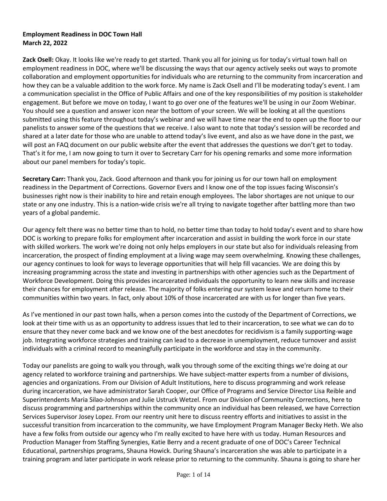## **Employment Readiness in DOC Town Hall March 22, 2022**

**Zack Osell:** Okay. It looks like we're ready to get started. Thank you all for joining us for today's virtual town hall on employment readiness in DOC, where we'll be discussing the ways that our agency actively seeks out ways to promote collaboration and employment opportunities for individuals who are returning to the community from incarceration and how they can be a valuable addition to the work force. My name is Zack Osell and I'll be moderating today's event. I am a communication specialist in the Office of Public Affairs and one of the key responsibilities of my position is stakeholder engagement. But before we move on today, I want to go over one of the features we'll be using in our Zoom Webinar. You should see a question and answer icon near the bottom of your screen. We will be looking at all the questions submitted using this feature throughout today's webinar and we will have time near the end to open up the floor to our panelists to answer some of the questions that we receive. I also want to note that today's session will be recorded and shared at a later date for those who are unable to attend today's live event, and also as we have done in the past, we will post an FAQ document on our public website after the event that addresses the questions we don't get to today. That's it for me, I am now going to turn it over to Secretary Carr for his opening remarks and some more information about our panel members for today's topic.

**Secretary Carr:** Thank you, Zack. Good afternoon and thank you for joining us for our town hall on employment readiness in the Department of Corrections. Governor Evers and I know one of the top issues facing Wisconsin's businesses right now is their inability to hire and retain enough employees. The labor shortages are not unique to our state or any one industry. This is a nation-wide crisis we're all trying to navigate together after battling more than two years of a global pandemic.

Our agency felt there was no better time than to hold, no better time than today to hold today's event and to share how DOC is working to prepare folks for employment after incarceration and assist in building the work force in our state with skilled workers. The work we're doing not only helps employers in our state but also for individuals releasing from incarceration, the prospect of finding employment at a living wage may seem overwhelming. Knowing these challenges, our agency continues to look for ways to leverage opportunities that will help fill vacancies. We are doing this by increasing programming across the state and investing in partnerships with other agencies such as the Department of Workforce Development. Doing this provides incarcerated individuals the opportunity to learn new skills and increase their chances for employment after release. The majority of folks entering our system leave and return home to their communities within two years. In fact, only about 10% of those incarcerated are with us for longer than five years.

As I've mentioned in our past town halls, when a person comes into the custody of the Department of Corrections, we look at their time with us as an opportunity to address issues that led to their incarceration, to see what we can do to ensure that they never come back and we know one of the best anecdotes for recidivism is a family supporting-wage job. Integrating workforce strategies and training can lead to a decrease in unemployment, reduce turnover and assist individuals with a criminal record to meaningfully participate in the workforce and stay in the community.

Today our panelists are going to walk you through, walk you through some of the exciting things we're doing at our agency related to workforce training and partnerships. We have subject-matter experts from a number of divisions, agencies and organizations. From our Division of Adult Institutions, here to discuss programming and work release during incarceration, we have administrator Sarah Cooper, our Office of Programs and Service Director Lisa Reible and Superintendents Maria Silao-Johnson and Julie Ustruck Wetzel. From our Division of Community Corrections, here to discuss programming and partnerships within the community once an individual has been released, we have Correction Services Supervisor Josey Lopez. From our reentry unit here to discuss reentry efforts and initiatives to assist in the successful transition from incarceration to the community, we have Employment Program Manager Becky Heth. We also have a few folks from outside our agency who I'm really excited to have here with us today. Human Resources and Production Manager from Staffing Synergies, Katie Berry and a recent graduate of one of DOC's Career Technical Educational, partnerships programs, Shauna Howick. During Shauna's incarceration she was able to participate in a training program and later participate in work release prior to returning to the community. Shauna is going to share her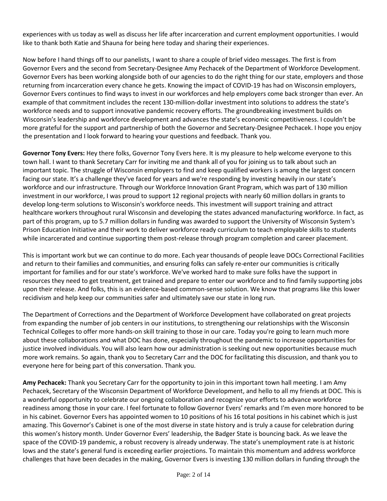experiences with us today as well as discuss her life after incarceration and current employment opportunities. I would like to thank both Katie and Shauna for being here today and sharing their experiences.

Now before I hand things off to our panelists, I want to share a couple of brief video messages. The first is from Governor Evers and the second from Secretary-Designee Amy Pechacek of the Department of Workforce Development. Governor Evers has been working alongside both of our agencies to do the right thing for our state, employers and those returning from incarceration every chance he gets. Knowing the impact of COVID-19 has had on Wisconsin employers, Governor Evers continues to find ways to invest in our workforces and help employers come back stronger than ever. An example of that commitment includes the recent 130-million-dollar investment into solutions to address the state's workforce needs and to support innovative pandemic recovery efforts. The groundbreaking investment builds on Wisconsin's leadership and workforce development and advances the state's economic competitiveness. I couldn't be more grateful for the support and partnership of both the Governor and Secretary-Designee Pechacek. I hope you enjoy the presentation and I look forward to hearing your questions and feedback. Thank you.

**Governor Tony Evers:** Hey there folks, Governor Tony Evers here. It is my pleasure to help welcome everyone to this town hall. I want to thank Secretary Carr for inviting me and thank all of you for joining us to talk about such an important topic. The struggle of Wisconsin employers to find and keep qualified workers is among the largest concern facing our state. It's a challenge they've faced for years and we're responding by investing heavily in our state's workforce and our infrastructure. Through our Workforce Innovation Grant Program, which was part of 130 million investment in our workforce, I was proud to support 12 regional projects with nearly 60 million dollars in grants to develop long-term solutions to Wisconsin's workforce needs. This investment will support training and attract healthcare workers throughout rural Wisconsin and developing the states advanced manufacturing workforce. In fact, as part of this program, up to 5.7 million dollars in funding was awarded to support the University of Wisconsin System's Prison Education Initiative and their work to deliver workforce ready curriculum to teach employable skills to students while incarcerated and continue supporting them post-release through program completion and career placement.

This is important work but we can continue to do more. Each year thousands of people leave DOCs Correctional Facilities and return to their families and communities, and ensuring folks can safely re-enter our communities is critically important for families and for our state's workforce. We've worked hard to make sure folks have the support in resources they need to get treatment, get trained and prepare to enter our workforce and to find family supporting jobs upon their release. And folks, this is an evidence-based common-sense solution. We know that programs like this lower recidivism and help keep our communities safer and ultimately save our state in long run.

The Department of Corrections and the Department of Workforce Development have collaborated on great projects from expanding the number of job centers in our institutions, to strengthening our relationships with the Wisconsin Technical Colleges to offer more hands-on skill training to those in our care. Today you're going to learn much more about these collaborations and what DOC has done, especially throughout the pandemic to increase opportunities for justice involved individuals. You will also learn how our administration is seeking out new opportunities because much more work remains. So again, thank you to Secretary Carr and the DOC for facilitating this discussion, and thank you to everyone here for being part of this conversation. Thank you.

**Amy Pechacek:** Thank you Secretary Carr for the opportunity to join in this important town hall meeting. I am Amy Pechacek, Secretary of the Wisconsin Department of Workforce Development, and hello to all my friends at DOC. This is a wonderful opportunity to celebrate our ongoing collaboration and recognize your efforts to advance workforce readiness among those in your care. I feel fortunate to follow Governor Evers' remarks and I'm even more honored to be in his cabinet. Governor Evers has appointed women to 10 positions of his 16 total positions in his cabinet which is just amazing. This Governor's Cabinet is one of the most diverse in state history and is truly a cause for celebration during this women's history month. Under Governor Evers' leadership, the Badger State is bouncing back. As we leave the space of the COVID-19 pandemic, a robust recovery is already underway. The state's unemployment rate is at historic lows and the state's general fund is exceeding earlier projections. To maintain this momentum and address workforce challenges that have been decades in the making, Governor Evers is investing 130 million dollars in funding through the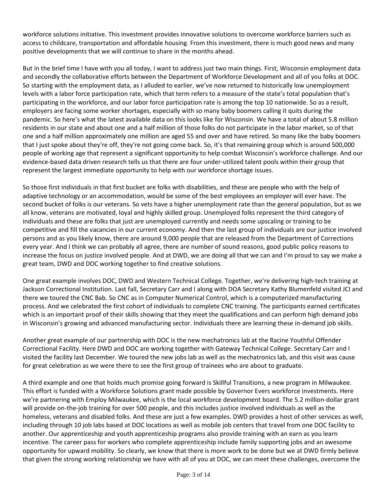workforce solutions initiative. This investment provides innovative solutions to overcome workforce barriers such as access to childcare, transportation and affordable housing. From this investment, there is much good news and many positive developments that we will continue to share in the months ahead.

But in the brief time I have with you all today, I want to address just two main things. First, Wisconsin employment data and secondly the collaborative efforts between the Department of Workforce Development and all of you folks at DOC. So starting with the employment data, as I alluded to earlier, we've now returned to historically low unemployment levels with a labor force participation rate, which that term refers to a measure of the state's total population that's participating in the workforce, and our labor force participation rate is among the top 10 nationwide. So as a result, employers are facing some worker shortages, especially with so many baby boomers calling it quits during the pandemic. So here's what the latest available data on this looks like for Wisconsin. We have a total of about 5.8 million residents in our state and about one and a half million of those folks do not participate in the labor market, so of that one and a half million approximately one million are aged 55 and over and have retired. So many like the baby boomers that I just spoke about they're off, they're not going come back. So, it's that remaining group which is around 500,000 people of working age that represent a significant opportunity to help combat Wisconsin's workforce challenge. And our evidence-based data driven research tells us that there are four under-utilized talent pools within their group that represent the largest immediate opportunity to help with our workforce shortage issues.

So those first individuals in that first bucket are folks with disabilities, and these are people who with the help of adaptive technology or an accommodation, would be some of the best employees an employer will ever have. The second bucket of folks is our veterans. So vets have a higher unemployment rate than the general population, but as we all know, veterans are motivated, loyal and highly skilled group. Unemployed folks represent the third category of individuals and these are folks that just are unemployed currently and needs some upscaling or training to be competitive and fill the vacancies in our current economy. And then the last group of individuals are our justice involved persons and as you likely know, there are around 9,000 people that are released from the Department of Corrections every year. And I think we can probably all agree, there are number of sound reasons, good public policy reasons to increase the focus on justice involved people. And at DWD, we are doing all that we can and I'm proud to say we make a great team, DWD and DOC working together to find creative solutions.

One great example involves DOC, DWD and Western Technical College. Together, we're delivering high-tech training at Jackson Correctional Institution. Last fall, Secretary Carr and I along with DOA Secretary Kathy Blumenfeld visited JCI and there we toured the CNC Bab. So CNC as in Computer Numerical Control, which is a computerized manufacturing process. And we celebrated the first cohort of individuals to complete CNC training. The participants earned certificates which is an important proof of their skills showing that they meet the qualifications and can perform high demand jobs in Wisconsin's growing and advanced manufacturing sector. Individuals there are learning these in-demand job skills.

Another great example of our partnership with DOC is the new mechatronics lab at the Racine Youthful Offender Correctional Facility. Here DWD and DOC are working together with Gateway Technical College. Secretary Carr and I visited the facility last December. We toured the new jobs lab as well as the mechatronics lab, and this visit was cause for great celebration as we were there to see the first group of trainees who are about to graduate.

A third example and one that holds much promise going forward is Skillful Transitions, a new program in Milwaukee. This effort is funded with a Workforce Solutions grant made possible by Governor Evers workforce investments. Here we're partnering with Employ Milwaukee, which is the local workforce development board. The 5.2 million-dollar grant will provide on-the-job training for over 500 people, and this includes justice involved individuals as well as the homeless, veterans and disabled folks. And these are just a few examples. DWD provides a host of other services as well, including through 10 job labs based at DOC locations as well as mobile job centers that travel from one DOC facility to another. Our apprenticeship and youth apprenticeship programs also provide training with an earn as you learn incentive. The career pass for workers who complete apprenticeship include family supporting jobs and an awesome opportunity for upward mobility. So clearly, we know that there is more work to be done but we at DWD firmly believe that given the strong working relationship we have with all of you at DOC, we can meet these challenges, overcome the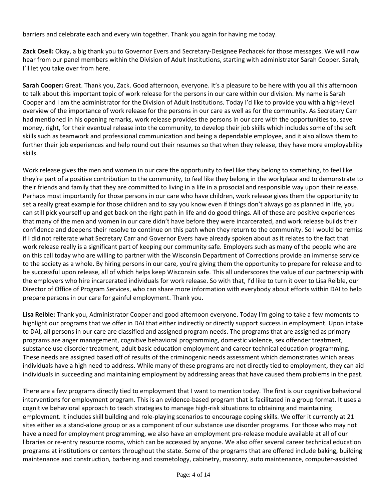barriers and celebrate each and every win together. Thank you again for having me today.

**Zack Osell:** Okay, a big thank you to Governor Evers and Secretary-Designee Pechacek for those messages. We will now hear from our panel members within the Division of Adult Institutions, starting with administrator Sarah Cooper. Sarah, I'll let you take over from here.

**Sarah Cooper:** Great. Thank you, Zack. Good afternoon, everyone. It's a pleasure to be here with you all this afternoon to talk about this important topic of work release for the persons in our care within our division. My name is Sarah Cooper and I am the administrator for the Division of Adult Institutions. Today I'd like to provide you with a high-level overview of the importance of work release for the persons in our care as well as for the community. As Secretary Carr had mentioned in his opening remarks, work release provides the persons in our care with the opportunities to, save money, right, for their eventual release into the community, to develop their job skills which includes some of the soft skills such as teamwork and professional communication and being a dependable employee, and it also allows them to further their job experiences and help round out their resumes so that when they release, they have more employability skills.

Work release gives the men and women in our care the opportunity to feel like they belong to something, to feel like they're part of a positive contribution to the community, to feel like they belong in the workplace and to demonstrate to their friends and family that they are committed to living in a life in a prosocial and responsible way upon their release. Perhaps most importantly for those persons in our care who have children, work release gives them the opportunity to set a really great example for those children and to say you know even if things don't always go as planned in life, you can still pick yourself up and get back on the right path in life and do good things. All of these are positive experiences that many of the men and women in our care didn't have before they were incarcerated, and work release builds their confidence and deepens their resolve to continue on this path when they return to the community. So I would be remiss if I did not reiterate what Secretary Carr and Governor Evers have already spoken about as it relates to the fact that work release really is a significant part of keeping our community safe. Employers such as many of the people who are on this call today who are willing to partner with the Wisconsin Department of Corrections provide an immense service to the society as a whole. By hiring persons in our care, you're giving them the opportunity to prepare for release and to be successful upon release, all of which helps keep Wisconsin safe. This all underscores the value of our partnership with the employers who hire incarcerated individuals for work release. So with that, I'd like to turn it over to Lisa Reible, our Director of Office of Program Services, who can share more information with everybody about efforts within DAI to help prepare persons in our care for gainful employment. Thank you.

**Lisa Reible:** Thank you, Administrator Cooper and good afternoon everyone. Today I'm going to take a few moments to highlight our programs that we offer in DAI that either indirectly or directly support success in employment. Upon intake to DAI, all persons in our care are classified and assigned program needs. The programs that are assigned as primary programs are anger management, cognitive behavioral programming, domestic violence, sex offender treatment, substance use disorder treatment, adult basic education employment and career technical education programming. These needs are assigned based off of results of the criminogenic needs assessment which demonstrates which areas individuals have a high need to address. While many of these programs are not directly tied to employment, they can aid individuals in succeeding and maintaining employment by addressing areas that have caused them problems in the past.

There are a few programs directly tied to employment that I want to mention today. The first is our cognitive behavioral interventions for employment program. This is an evidence-based program that is facilitated in a group format. It uses a cognitive behavioral approach to teach strategies to manage high-risk situations to obtaining and maintaining employment. It includes skill building and role-playing scenarios to encourage coping skills. We offer it currently at 21 sites either as a stand-alone group or as a component of our substance use disorder programs. For those who may not have a need for employment programming, we also have an employment pre-release module available at all of our libraries or re-entry resource rooms, which can be accessed by anyone. We also offer several career technical education programs at institutions or centers throughout the state. Some of the programs that are offered include baking, building maintenance and construction, barbering and cosmetology, cabinetry, masonry, auto maintenance, computer-assisted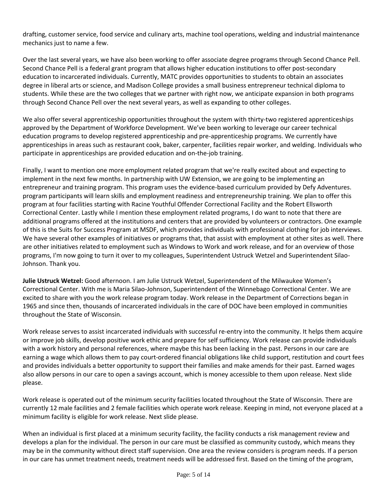drafting, customer service, food service and culinary arts, machine tool operations, welding and industrial maintenance mechanics just to name a few.

Over the last several years, we have also been working to offer associate degree programs through Second Chance Pell. Second Chance Pell is a federal grant program that allows higher education institutions to offer post-secondary education to incarcerated individuals. Currently, MATC provides opportunities to students to obtain an associates degree in liberal arts or science, and Madison College provides a small business entrepreneur technical diploma to students. While these are the two colleges that we partner with right now, we anticipate expansion in both programs through Second Chance Pell over the next several years, as well as expanding to other colleges.

We also offer several apprenticeship opportunities throughout the system with thirty-two registered apprenticeships approved by the Department of Workforce Development. We've been working to leverage our career technical education programs to develop registered apprenticeship and pre-apprenticeship programs. We currently have apprenticeships in areas such as restaurant cook, baker, carpenter, facilities repair worker, and welding. Individuals who participate in apprenticeships are provided education and on-the-job training.

Finally, I want to mention one more employment related program that we're really excited about and expecting to implement in the next few months. In partnership with UW Extension, we are going to be implementing an entrepreneur and training program. This program uses the evidence-based curriculum provided by Defy Adventures. program participants will learn skills and employment readiness and entrepreneurship training. We plan to offer this program at four facilities starting with Racine Youthful Offender Correctional Facility and the Robert Ellsworth Correctional Center. Lastly while I mention these employment related programs, I do want to note that there are additional programs offered at the institutions and centers that are provided by volunteers or contractors. One example of this is the Suits for Success Program at MSDF, which provides individuals with professional clothing for job interviews. We have several other examples of initiatives or programs that, that assist with employment at other sites as well. There are other initiatives related to employment such as Windows to Work and work release, and for an overview of those programs, I'm now going to turn it over to my colleagues, Superintendent Ustruck Wetzel and Superintendent Silao-Johnson. Thank you.

**Julie Ustruck Wetzel:** Good afternoon. I am Julie Ustruck Wetzel, Superintendent of the Milwaukee Women's Correctional Center. With me is Maria Silao-Johnson, Superintendent of the Winnebago Correctional Center. We are excited to share with you the work release program today. Work release in the Department of Corrections began in 1965 and since then, thousands of incarcerated individuals in the care of DOC have been employed in communities throughout the State of Wisconsin.

Work release serves to assist incarcerated individuals with successful re-entry into the community. It helps them acquire or improve job skills, develop positive work ethic and prepare for self sufficiency. Work release can provide individuals with a work history and personal references, where maybe this has been lacking in the past. Persons in our care are earning a wage which allows them to pay court-ordered financial obligations like child support, restitution and court fees and provides individuals a better opportunity to support their families and make amends for their past. Earned wages also allow persons in our care to open a savings account, which is money accessible to them upon release. Next slide please.

Work release is operated out of the minimum security facilities located throughout the State of Wisconsin. There are currently 12 male facilities and 2 female facilities which operate work release. Keeping in mind, not everyone placed at a minimum facility is eligible for work release. Next slide please.

When an individual is first placed at a minimum security facility, the facility conducts a risk management review and develops a plan for the individual. The person in our care must be classified as community custody, which means they may be in the community without direct staff supervision. One area the review considers is program needs. If a person in our care has unmet treatment needs, treatment needs will be addressed first. Based on the timing of the program,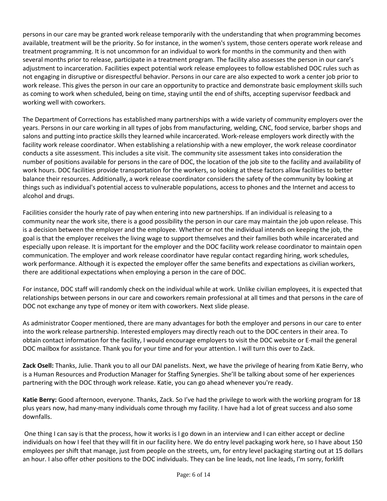persons in our care may be granted work release temporarily with the understanding that when programming becomes available, treatment will be the priority. So for instance, in the women's system, those centers operate work release and treatment programming. It is not uncommon for an individual to work for months in the community and then with several months prior to release, participate in a treatment program. The facility also assesses the person in our care's adjustment to incarceration. Facilities expect potential work release employees to follow established DOC rules such as not engaging in disruptive or disrespectful behavior. Persons in our care are also expected to work a center job prior to work release. This gives the person in our care an opportunity to practice and demonstrate basic employment skills such as coming to work when scheduled, being on time, staying until the end of shifts, accepting supervisor feedback and working well with coworkers.

The Department of Corrections has established many partnerships with a wide variety of community employers over the years. Persons in our care working in all types of jobs from manufacturing, welding, CNC, food service, barber shops and salons and putting into practice skills they learned while incarcerated. Work-release employers work directly with the facility work release coordinator. When establishing a relationship with a new employer, the work release coordinator conducts a site assessment. This includes a site visit. The community site assessment takes into consideration the number of positions available for persons in the care of DOC, the location of the job site to the facility and availability of work hours. DOC facilities provide transportation for the workers, so looking at these factors allow facilities to better balance their resources. Additionally, a work release coordinator considers the safety of the community by looking at things such as individual's potential access to vulnerable populations, access to phones and the Internet and access to alcohol and drugs.

Facilities consider the hourly rate of pay when entering into new partnerships. If an individual is releasing to a community near the work site, there is a good possibility the person in our care may maintain the job upon release. This is a decision between the employer and the employee. Whether or not the individual intends on keeping the job, the goal is that the employer receives the living wage to support themselves and their families both while incarcerated and especially upon release. It is important for the employer and the DOC facility work release coordinator to maintain open communication. The employer and work release coordinator have regular contact regarding hiring, work schedules, work performance. Although it is expected the employer offer the same benefits and expectations as civilian workers, there are additional expectations when employing a person in the care of DOC.

For instance, DOC staff will randomly check on the individual while at work. Unlike civilian employees, it is expected that relationships between persons in our care and coworkers remain professional at all times and that persons in the care of DOC not exchange any type of money or item with coworkers. Next slide please.

As administrator Cooper mentioned, there are many advantages for both the employer and persons in our care to enter into the work release partnership. Interested employers may directly reach out to the DOC centers in their area. To obtain contact information for the facility, I would encourage employers to visit the DOC website or E-mail the general DOC mailbox for assistance. Thank you for your time and for your attention. I will turn this over to Zack.

**Zack Osell:** Thanks, Julie. Thank you to all our DAI panelists. Next, we have the privilege of hearing from Katie Berry, who is a Human Resources and Production Manager for Staffing Synergies. She'll be talking about some of her experiences partnering with the DOC through work release. Katie, you can go ahead whenever you're ready.

**Katie Berry:** Good afternoon, everyone. Thanks, Zack. So I've had the privilege to work with the working program for 18 plus years now, had many-many individuals come through my facility. I have had a lot of great success and also some downfalls.

One thing I can say is that the process, how it works is I go down in an interview and I can either accept or decline individuals on how I feel that they will fit in our facility here. We do entry level packaging work here, so I have about 150 employees per shift that manage, just from people on the streets, um, for entry level packaging starting out at 15 dollars an hour. I also offer other positions to the DOC individuals. They can be line leads, not line leads, I'm sorry, forklift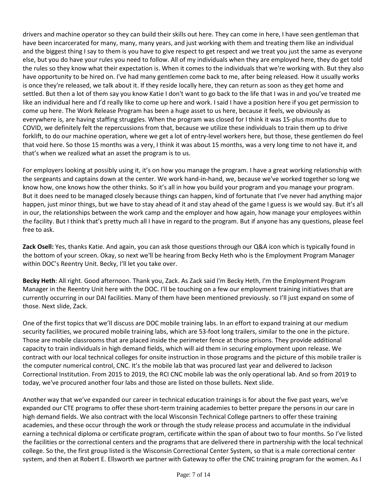drivers and machine operator so they can build their skills out here. They can come in here, I have seen gentleman that have been incarcerated for many, many, many years, and just working with them and treating them like an individual and the biggest thing I say to them is you have to give respect to get respect and we treat you just the same as everyone else, but you do have your rules you need to follow. All of my individuals when they are employed here, they do get told the rules so they know what their expectation is. When it comes to the individuals that we're working with. But they also have opportunity to be hired on. I've had many gentlemen come back to me, after being released. How it usually works is once they're released, we talk about it. If they reside locally here, they can return as soon as they get home and settled. But then a lot of them say you know Katie I don't want to go back to the life that I was in and you've treated me like an individual here and I'd really like to come up here and work. I said I have a position here if you get permission to come up here. The Work Release Program has been a huge asset to us here, because it feels, we obviously as everywhere is, are having staffing struggles. When the program was closed for I think it was 15-plus months due to COVID, we definitely felt the repercussions from that, because we utilize these individuals to train them up to drive forklift, to do our machine operation, where we get a lot of entry-level workers here, but those, these gentlemen do feel that void here. So those 15 months was a very, I think it was about 15 months, was a very long time to not have it, and that's when we realized what an asset the program is to us.

For employers looking at possibly using it, it's on how you manage the program. I have a great working relationship with the sergeants and captains down at the center. We work hand-in-hand, we, because we've worked together so long we know how, one knows how the other thinks. So it's all in how you build your program and you manage your program. But it does need to be managed closely because things can happen, kind of fortunate that I've never had anything major happen, just minor things, but we have to stay ahead of it and stay ahead of the game I guess is we would say. But it's all in our, the relationships between the work camp and the employer and how again, how manage your employees within the facility. But I think that's pretty much all I have in regard to the program. But if anyone has any questions, please feel free to ask.

**Zack Osell:** Yes, thanks Katie. And again, you can ask those questions through our Q&A icon which is typically found in the bottom of your screen. Okay, so next we'll be hearing from Becky Heth who is the Employment Program Manager within DOC's Reentry Unit. Becky, I'll let you take over.

**Becky Heth**: All right. Good afternoon. Thank you, Zack. As Zack said I'm Becky Heth, I'm the Employment Program Manager in the Reentry Unit here with the DOC. I'll be touching on a few our employment training initiatives that are currently occurring in our DAI facilities. Many of them have been mentioned previously. so I'll just expand on some of those. Next slide, Zack.

One of the first topics that we'll discuss are DOC mobile training labs. In an effort to expand training at our medium security facilities, we procured mobile training labs, which are 53-foot long trailers, similar to the one in the picture. Those are mobile classrooms that are placed inside the perimeter fence at those prisons. They provide additional capacity to train individuals in high demand fields, which will aid them in securing employment upon release. We contract with our local technical colleges for onsite instruction in those programs and the picture of this mobile trailer is the computer numerical control, CNC. It's the mobile lab that was procured last year and delivered to Jackson Correctional Institution. From 2015 to 2019, the RCI CNC mobile lab was the only operational lab. And so from 2019 to today, we've procured another four labs and those are listed on those bullets. Next slide.

Another way that we've expanded our career in technical education trainings is for about the five past years, we've expanded our CTE programs to offer these short-term training academies to better prepare the persons in our care in high demand fields. We also contract with the local Wisconsin Technical College partners to offer these training academies, and these occur through the work or through the study release process and accumulate in the individual earning a technical diploma or certificate program, certificate within the span of about two to four months. So I've listed the facilities or the correctional centers and the programs that are delivered there in partnership with the local technical college. So the, the first group listed is the Wisconsin Correctional Center System, so that is a male correctional center system, and then at Robert E. Ellsworth we partner with Gateway to offer the CNC training program for the women. As I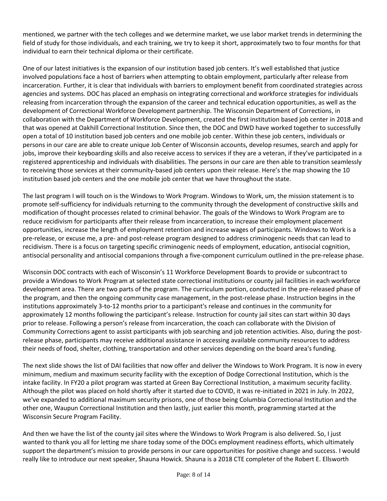mentioned, we partner with the tech colleges and we determine market, we use labor market trends in determining the field of study for those individuals, and each training, we try to keep it short, approximately two to four months for that individual to earn their technical diploma or their certificate.

One of our latest initiatives is the expansion of our institution based job centers. It's well established that justice involved populations face a host of barriers when attempting to obtain employment, particularly after release from incarceration. Further, it is clear that individuals with barriers to employment benefit from coordinated strategies across agencies and systems. DOC has placed an emphasis on integrating correctional and workforce strategies for individuals releasing from incarceration through the expansion of the career and technical education opportunities, as well as the development of Correctional Workforce Development partnership. The Wisconsin Department of Corrections, in collaboration with the Department of Workforce Development, created the first institution based job center in 2018 and that was opened at Oakhill Correctional Institution. Since then, the DOC and DWD have worked together to successfully open a total of 10 institution based job centers and one mobile job center. Within these job centers, individuals or persons in our care are able to create unique Job Center of Wisconsin accounts, develop resumes, search and apply for jobs, improve their keyboarding skills and also receive access to services if they are a veteran, if they've participated in a registered apprenticeship and individuals with disabilities. The persons in our care are then able to transition seamlessly to receiving those services at their community-based job centers upon their release. Here's the map showing the 10 institution based job centers and the one mobile job center that we have throughout the state.

The last program I will touch on is the Windows to Work Program. Windows to Work, um, the mission statement is to promote self-sufficiency for individuals returning to the community through the development of constructive skills and modification of thought processes related to criminal behavior. The goals of the Windows to Work Program are to reduce recidivism for participants after their release from incarceration, to increase their employment placement opportunities, increase the length of employment retention and increase wages of participants. Windows to Work is a pre-release, or excuse me, a pre- and post-release program designed to address criminogenic needs that can lead to recidivism. There is a focus on targeting specific criminogenic needs of employment, education, antisocial cognition, antisocial personality and antisocial companions through a five-component curriculum outlined in the pre-release phase.

Wisconsin DOC contracts with each of Wisconsin's 11 Workforce Development Boards to provide or subcontract to provide a Windows to Work Program at selected state correctional institutions or county jail facilities in each workforce development area. There are two parts of the program. The curriculum portion, conducted in the pre-released phase of the program, and then the ongoing community case management, in the post-release phase. Instruction begins in the institutions approximately 3-to-12 months prior to a participant's release and continues in the community for approximately 12 months following the participant's release. Instruction for county jail sites can start within 30 days prior to release. Following a person's release from incarceration, the coach can collaborate with the Division of Community Corrections agent to assist participants with job searching and job retention activities. Also, during the postrelease phase, participants may receive additional assistance in accessing available community resources to address their needs of food, shelter, clothing, transportation and other services depending on the board area's funding.

The next slide shows the list of DAI facilities that now offer and deliver the Windows to Work Program. It is now in every minimum, medium and maximum security facility with the exception of Dodge Correctional Institution, which is the intake facility. In FY20 a pilot program was started at Green Bay Correctional Institution, a maximum security facility. Although the pilot was placed on hold shortly after it started due to COVID, it was re-initiated in 2021 in July. In 2022, we've expanded to additional maximum security prisons, one of those being Columbia Correctional Institution and the other one, Waupun Correctional Institution and then lastly, just earlier this month, programming started at the Wisconsin Secure Program Facility.

And then we have the list of the county jail sites where the Windows to Work Program is also delivered. So, I just wanted to thank you all for letting me share today some of the DOCs employment readiness efforts, which ultimately support the department's mission to provide persons in our care opportunities for positive change and success. I would really like to introduce our next speaker, Shauna Howick. Shauna is a 2018 CTE completer of the Robert E. Ellsworth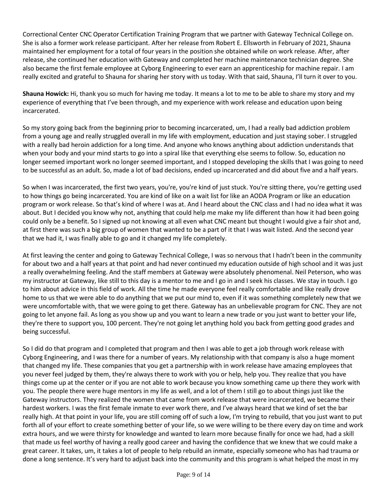Correctional Center CNC Operator Certification Training Program that we partner with Gateway Technical College on. She is also a former work release participant. After her release from Robert E. Ellsworth in February of 2021, Shauna maintained her employment for a total of four years in the position she obtained while on work release. After, after release, she continued her education with Gateway and completed her machine maintenance technician degree. She also became the first female employee at Cyborg Engineering to ever earn an apprenticeship for machine repair. I am really excited and grateful to Shauna for sharing her story with us today. With that said, Shauna, I'll turn it over to you.

**Shauna Howick:** Hi, thank you so much for having me today. It means a lot to me to be able to share my story and my experience of everything that I've been through, and my experience with work release and education upon being incarcerated.

So my story going back from the beginning prior to becoming incarcerated, um, I had a really bad addiction problem from a young age and really struggled overall in my life with employment, education and just staying sober. I struggled with a really bad heroin addiction for a long time. And anyone who knows anything about addiction understands that when your body and your mind starts to go into a spiral like that everything else seems to follow. So, education no longer seemed important work no longer seemed important, and I stopped developing the skills that I was going to need to be successful as an adult. So, made a lot of bad decisions, ended up incarcerated and did about five and a half years.

So when I was incarcerated, the first two years, you're, you're kind of just stuck. You're sitting there, you're getting used to how things go being incarcerated. You are kind of like on a wait list for like an AODA Program or like an education program or work release. So that's kind of where I was at. And I heard about the CNC class and I had no idea what it was about. But I decided you know why not, anything that could help me make my life different than how it had been going could only be a benefit. So I signed up not knowing at all even what CNC meant but thought I would give a fair shot and, at first there was such a big group of women that wanted to be a part of it that I was wait listed. And the second year that we had it, I was finally able to go and it changed my life completely.

At first leaving the center and going to Gateway Technical College, I was so nervous that I hadn't been in the community for about two and a half years at that point and had never continued my education outside of high school and it was just a really overwhelming feeling. And the staff members at Gateway were absolutely phenomenal. Neil Peterson, who was my instructor at Gateway, like still to this day is a mentor to me and I go in and I seek his classes. We stay in touch. I go to him about advice in this field of work. All the time he made everyone feel really comfortable and like really drove home to us that we were able to do anything that we put our mind to, even if it was something completely new that we were uncomfortable with, that we were going to get there. Gateway has an unbelievable program for CNC. They are not going to let anyone fail. As long as you show up and you want to learn a new trade or you just want to better your life, they're there to support you, 100 percent. They're not going let anything hold you back from getting good grades and being successful.

So I did do that program and I completed that program and then I was able to get a job through work release with Cyborg Engineering, and I was there for a number of years. My relationship with that company is also a huge moment that changed my life. These companies that you get a partnership with in work release have amazing employees that you never feel judged by them, they're always there to work with you or help, help you. They realize that you have things come up at the center or if you are not able to work because you know something came up there they work with you. The people there were huge mentors in my life as well, and a lot of them I still go to about things just like the Gateway instructors. They realized the women that came from work release that were incarcerated, we became their hardest workers. I was the first female inmate to ever work there, and I've always heard that we kind of set the bar really high. At that point in your life, you are still coming off of such a low, I'm trying to rebuild, that you just want to put forth all of your effort to create something better of your life, so we were willing to be there every day on time and work extra hours, and we were thirsty for knowledge and wanted to learn more because finally for once we had, had a skill that made us feel worthy of having a really good career and having the confidence that we knew that we could make a great career. It takes, um, it takes a lot of people to help rebuild an inmate, especially someone who has had trauma or done a long sentence. It's very hard to adjust back into the community and this program is what helped the most in my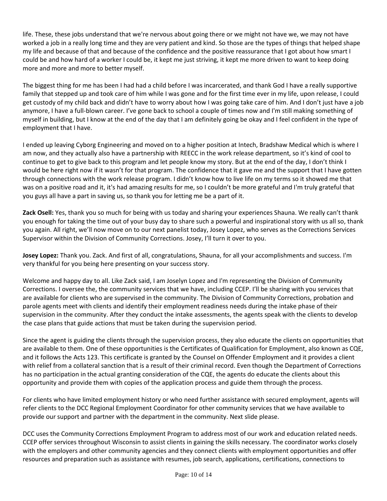life. These, these jobs understand that we're nervous about going there or we might not have we, we may not have worked a job in a really long time and they are very patient and kind. So those are the types of things that helped shape my life and because of that and because of the confidence and the positive reassurance that I got about how smart I could be and how hard of a worker I could be, it kept me just striving, it kept me more driven to want to keep doing more and more and more to better myself.

The biggest thing for me has been I had had a child before I was incarcerated, and thank God I have a really supportive family that stepped up and took care of him while I was gone and for the first time ever in my life, upon release, I could get custody of my child back and didn't have to worry about how I was going take care of him. And I don't just have a job anymore, I have a full-blown career. I've gone back to school a couple of times now and I'm still making something of myself in building, but I know at the end of the day that I am definitely going be okay and I feel confident in the type of employment that I have.

I ended up leaving Cyborg Engineering and moved on to a higher position at Intech, Bradshaw Medical which is where I am now, and they actually also have a partnership with REECC in the work release department, so it's kind of cool to continue to get to give back to this program and let people know my story. But at the end of the day, I don't think I would be here right now if it wasn't for that program. The confidence that it gave me and the support that I have gotten through connections with the work release program. I didn't know how to live life on my terms so it showed me that was on a positive road and it, it's had amazing results for me, so I couldn't be more grateful and I'm truly grateful that you guys all have a part in saving us, so thank you for letting me be a part of it.

**Zack Osell:** Yes, thank you so much for being with us today and sharing your experiences Shauna. We really can't thank you enough for taking the time out of your busy day to share such a powerful and inspirational story with us all so, thank you again. All right, we'll now move on to our next panelist today, Josey Lopez, who serves as the Corrections Services Supervisor within the Division of Community Corrections. Josey, I'll turn it over to you.

**Josey Lopez:** Thank you. Zack. And first of all, congratulations, Shauna, for all your accomplishments and success. I'm very thankful for you being here presenting on your success story.

Welcome and happy day to all. Like Zack said, I am Joselyn Lopez and I'm representing the Division of Community Corrections. I oversee the, the community services that we have, including CCEP. I'll be sharing with you services that are available for clients who are supervised in the community. The Division of Community Corrections, probation and parole agents meet with clients and identify their employment readiness needs during the intake phase of their supervision in the community. After they conduct the intake assessments, the agents speak with the clients to develop the case plans that guide actions that must be taken during the supervision period.

Since the agent is guiding the clients through the supervision process, they also educate the clients on opportunities that are available to them. One of these opportunities is the Certificates of Qualification for Employment, also known as CQE, and it follows the Acts 123. This certificate is granted by the Counsel on Offender Employment and it provides a client with relief from a collateral sanction that is a result of their criminal record. Even though the Department of Corrections has no participation in the actual granting consideration of the CQE, the agents do educate the clients about this opportunity and provide them with copies of the application process and guide them through the process.

For clients who have limited employment history or who need further assistance with secured employment, agents will refer clients to the DCC Regional Employment Coordinator for other community services that we have available to provide our support and partner with the department in the community. Next slide please.

DCC uses the Community Corrections Employment Program to address most of our work and education related needs. CCEP offer services throughout Wisconsin to assist clients in gaining the skills necessary. The coordinator works closely with the employers and other community agencies and they connect clients with employment opportunities and offer resources and preparation such as assistance with resumes, job search, applications, certifications, connections to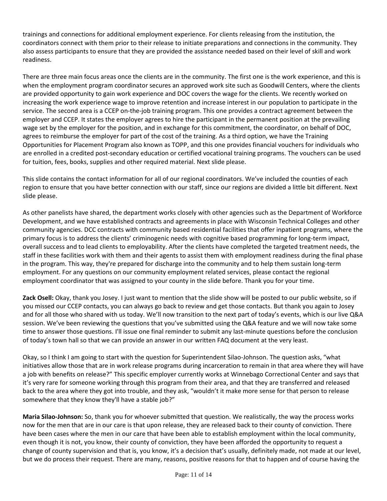trainings and connections for additional employment experience. For clients releasing from the institution, the coordinators connect with them prior to their release to initiate preparations and connections in the community. They also assess participants to ensure that they are provided the assistance needed based on their level of skill and work readiness.

There are three main focus areas once the clients are in the community. The first one is the work experience, and this is when the employment program coordinator secures an approved work site such as Goodwill Centers, where the clients are provided opportunity to gain work experience and DOC covers the wage for the clients. We recently worked on increasing the work experience wage to improve retention and increase interest in our population to participate in the service. The second area is a CCEP on-the-job training program. This one provides a contract agreement between the employer and CCEP. It states the employer agrees to hire the participant in the permanent position at the prevailing wage set by the employer for the position, and in exchange for this commitment, the coordinator, on behalf of DOC, agrees to reimburse the employer for part of the cost of the training. As a third option, we have the Training Opportunities for Placement Program also known as TOPP, and this one provides financial vouchers for individuals who are enrolled in a credited post-secondary education or certified vocational training programs. The vouchers can be used for tuition, fees, books, supplies and other required material. Next slide please.

This slide contains the contact information for all of our regional coordinators. We've included the counties of each region to ensure that you have better connection with our staff, since our regions are divided a little bit different. Next slide please.

As other panelists have shared, the department works closely with other agencies such as the Department of Workforce Development, and we have established contracts and agreements in place with Wisconsin Technical Colleges and other community agencies. DCC contracts with community based residential facilities that offer inpatient programs, where the primary focus is to address the clients' criminogenic needs with cognitive based programming for long-term impact, overall success and to lead clients to employability. After the clients have completed the targeted treatment needs, the staff in these facilities work with them and their agents to assist them with employment readiness during the final phase in the program. This way, they're prepared for discharge into the community and to help them sustain long-term employment. For any questions on our community employment related services, please contact the regional employment coordinator that was assigned to your county in the slide before. Thank you for your time.

**Zack Osell:** Okay, thank you Josey. I just want to mention that the slide show will be posted to our public website, so if you missed our CCEP contacts, you can always go back to review and get those contacts. But thank you again to Josey and for all those who shared with us today. We'll now transition to the next part of today's events, which is our live Q&A session. We've been reviewing the questions that you've submitted using the Q&A feature and we will now take some time to answer those questions. I'll issue one final reminder to submit any last-minute questions before the conclusion of today's town hall so that we can provide an answer in our written FAQ document at the very least.

Okay, so I think I am going to start with the question for Superintendent Silao-Johnson. The question asks, "what initiatives allow those that are in work release programs during incarceration to remain in that area where they will have a job with benefits on release?" This specific employer currently works at Winnebago Correctional Center and says that it's very rare for someone working through this program from their area, and that they are transferred and released back to the area where they got into trouble, and they ask, "wouldn't it make more sense for that person to release somewhere that they know they'll have a stable job?"

**Maria Silao-Johnson:** So, thank you for whoever submitted that question. We realistically, the way the process works now for the men that are in our care is that upon release, they are released back to their county of conviction. There have been cases where the men in our care that have been able to establish employment within the local community, even though it is not, you know, their county of conviction, they have been afforded the opportunity to request a change of county supervision and that is, you know, it's a decision that's usually, definitely made, not made at our level, but we do process their request. There are many, reasons, positive reasons for that to happen and of course having the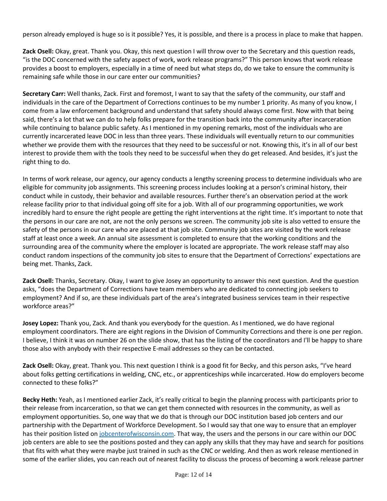person already employed is huge so is it possible? Yes, it is possible, and there is a process in place to make that happen.

**Zack Osell:** Okay, great. Thank you. Okay, this next question I will throw over to the Secretary and this question reads, "is the DOC concerned with the safety aspect of work, work release programs?" This person knows that work release provides a boost to employers, especially in a time of need but what steps do, do we take to ensure the community is remaining safe while those in our care enter our communities?

**Secretary Carr:** Well thanks, Zack. First and foremost, I want to say that the safety of the community, our staff and individuals in the care of the Department of Corrections continues to be my number 1 priority. As many of you know, I come from a law enforcement background and understand that safety should always come first. Now with that being said, there's a lot that we can do to help folks prepare for the transition back into the community after incarceration while continuing to balance public safety. As I mentioned in my opening remarks, most of the individuals who are currently incarcerated leave DOC in less than three years. These individuals will eventually return to our communities whether we provide them with the resources that they need to be successful or not. Knowing this, it's in all of our best interest to provide them with the tools they need to be successful when they do get released. And besides, it's just the right thing to do.

In terms of work release, our agency, our agency conducts a lengthy screening process to determine individuals who are eligible for community job assignments. This screening process includes looking at a person's criminal history, their conduct while in custody, their behavior and available resources. Further there's an observation period at the work release facility prior to that individual going off site for a job. With all of our programming opportunities, we work incredibly hard to ensure the right people are getting the right interventions at the right time. It's important to note that the persons in our care are not, are not the only persons we screen. The community job site is also vetted to ensure the safety of the persons in our care who are placed at that job site. Community job sites are visited by the work release staff at least once a week. An annual site assessment is completed to ensure that the working conditions and the surrounding area of the community where the employer is located are appropriate. The work release staff may also conduct random inspections of the community job sites to ensure that the Department of Corrections' expectations are being met. Thanks, Zack.

**Zack Osell:** Thanks, Secretary. Okay, I want to give Josey an opportunity to answer this next question. And the question asks, "does the Department of Corrections have team members who are dedicated to connecting job seekers to employment? And if so, are these individuals part of the area's integrated business services team in their respective workforce areas?"

**Josey Lopez:** Thank you, Zack. And thank you everybody for the question. As I mentioned, we do have regional employment coordinators. There are eight regions in the Division of Community Corrections and there is one per region. I believe, I think it was on number 26 on the slide show, that has the listing of the coordinators and I'll be happy to share those also with anybody with their respective E-mail addresses so they can be contacted.

**Zack Osell:** Okay, great. Thank you. This next question I think is a good fit for Becky, and this person asks, "I've heard about folks getting certifications in welding, CNC, etc., or apprenticeships while incarcerated. How do employers become connected to these folks?"

**Becky Heth:** Yeah, as I mentioned earlier Zack, it's really critical to begin the planning process with participants prior to their release from incarceration, so that we can get them connected with resources in the community, as well as employment opportunities. So, one way that we do that is through our DOC institution based job centers and our partnership with the Department of Workforce Development. So I would say that one way to ensure that an employer has their position listed on [jobcenterofwisconsin.com.](https://jobcenterofwisconsin.com/) That way, the users and the persons in our care within our DOC job centers are able to see the positions posted and they can apply any skills that they may have and search for positions that fits with what they were maybe just trained in such as the CNC or welding. And then as work release mentioned in some of the earlier slides, you can reach out of nearest facility to discuss the process of becoming a work release partner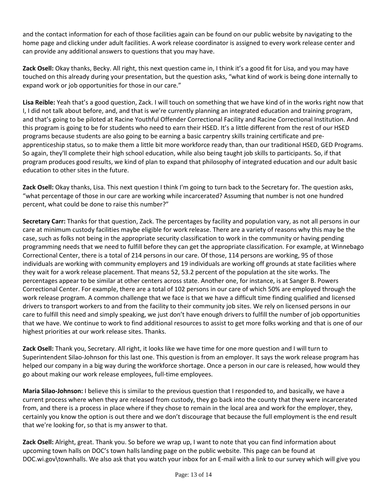and the contact information for each of those facilities again can be found on our public website by navigating to the home page and clicking under adult facilities. A work release coordinator is assigned to every work release center and can provide any additional answers to questions that you may have.

**Zack Osell:** Okay thanks, Becky. All right, this next question came in, I think it's a good fit for Lisa, and you may have touched on this already during your presentation, but the question asks, "what kind of work is being done internally to expand work or job opportunities for those in our care."

**Lisa Reible:** Yeah that's a good question, Zack. I will touch on something that we have kind of in the works right now that I, I did not talk about before, and, and that is we're currently planning an integrated education and training program, and that's going to be piloted at Racine Youthful Offender Correctional Facility and Racine Correctional Institution. And this program is going to be for students who need to earn their HSED. It's a little different from the rest of our HSED programs because students are also going to be earning a basic carpentry skills training certificate and preapprenticeship status, so to make them a little bit more workforce ready than, than our traditional HSED, GED Programs. So again, they'll complete their high school education, while also being taught job skills to participants. So, if that program produces good results, we kind of plan to expand that philosophy of integrated education and our adult basic education to other sites in the future.

**Zack Osell:** Okay thanks, Lisa. This next question I think I'm going to turn back to the Secretary for. The question asks, "what percentage of those in our care are working while incarcerated? Assuming that number is not one hundred percent, what could be done to raise this number?"

**Secretary Carr:** Thanks for that question, Zack. The percentages by facility and population vary, as not all persons in our care at minimum custody facilities maybe eligible for work release. There are a variety of reasons why this may be the case, such as folks not being in the appropriate security classification to work in the community or having pending programming needs that we need to fulfill before they can get the appropriate classification. For example, at Winnebago Correctional Center, there is a total of 214 persons in our care. Of those, 114 persons are working, 95 of those individuals are working with community employers and 19 individuals are working off grounds at state facilities where they wait for a work release placement. That means 52, 53.2 percent of the population at the site works. The percentages appear to be similar at other centers across state. Another one, for instance, is at Sanger B. Powers Correctional Center. For example, there are a total of 102 persons in our care of which 50% are employed through the work release program. A common challenge that we face is that we have a difficult time finding qualified and licensed drivers to transport workers to and from the facility to their community job sites. We rely on licensed persons in our care to fulfill this need and simply speaking, we just don't have enough drivers to fulfill the number of job opportunities that we have. We continue to work to find additional resources to assist to get more folks working and that is one of our highest priorities at our work release sites. Thanks.

**Zack Osell:** Thank you, Secretary. All right, it looks like we have time for one more question and I will turn to Superintendent Silao-Johnson for this last one. This question is from an employer. It says the work release program has helped our company in a big way during the workforce shortage. Once a person in our care is released, how would they go about making our work release employees, full-time employees.

**Maria Silao-Johnson:** I believe this is similar to the previous question that I responded to, and basically, we have a current process where when they are released from custody, they go back into the county that they were incarcerated from, and there is a process in place where if they chose to remain in the local area and work for the employer, they, certainly you know the option is out there and we don't discourage that because the full employment is the end result that we're looking for, so that is my answer to that.

**Zack Osell:** Alright, great. Thank you. So before we wrap up, I want to note that you can find information about upcoming town halls on DOC's town halls landing page on the public website. This page can be found at DOC.wi.gov\townhalls. We also ask that you watch your inbox for an E-mail with a link to our survey which will give you